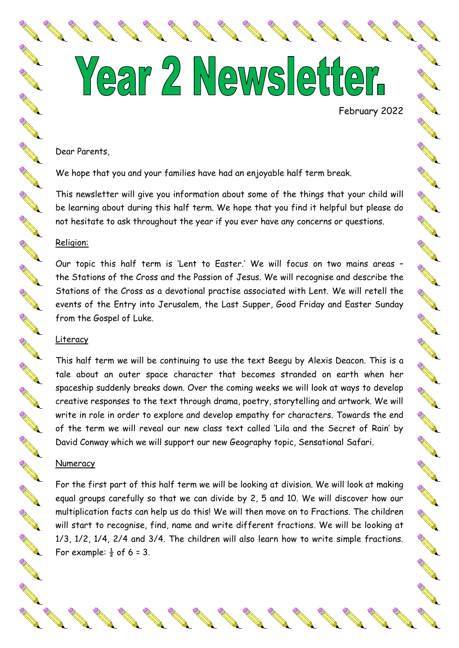# Year 2 Newsletter.

February 2022

A March 19

**RANGER** 

A March 19

New York

**RANG** 

No recent de

A Maria

A March

**RANCE** 

A RA

NA REA

A REAL

A RIVER

**AND ROAD** 

A March 19

#### Dear Parents,

We hope that you and your families have had an enjoyable half term break.

This newsletter will give you information about some of the things that your child will be learning about during this half term. We hope that you find it helpful but please do not hesitate to ask throughout the year if you ever have any concerns or questions.

## Religion:

Our topic this half term is 'Lent to Easter.' We will focus on two mains areas – the Stations of the Cross and the Passion of Jesus. We will recognise and describe the Stations of the Cross as a devotional practise associated with Lent. We will retell the events of the Entry into Jerusalem, the Last Supper, Good Friday and Easter Sunday from the Gospel of Luke.

### **Literacy**

This half term we will be continuing to use the text Beegu by Alexis Deacon. This is a tale about an outer space character that becomes stranded on earth when her spaceship suddenly breaks down. Over the coming weeks we will look at ways to develop creative responses to the text through drama, poetry, storytelling and artwork. We will write in role in order to explore and develop empathy for characters. Towards the end of the term we will reveal our new class text called 'Lila and the Secret of Rain' by David Conway which we will support our new Geography topic, Sensational Safari.

# **Numeracy**

For the first part of this half term we will be looking at division. We will look at making equal groups carefully so that we can divide by 2, 5 and 10. We will discover how our multiplication facts can help us do this! We will then move on to Fractions. The children will start to recognise, find, name and write different fractions. We will be looking at 1/3, 1/2, 1/4, 2/4 and 3/4. The children will also learn how to write simple fractions. For example:  $\frac{1}{2}$  of 6 = 3.